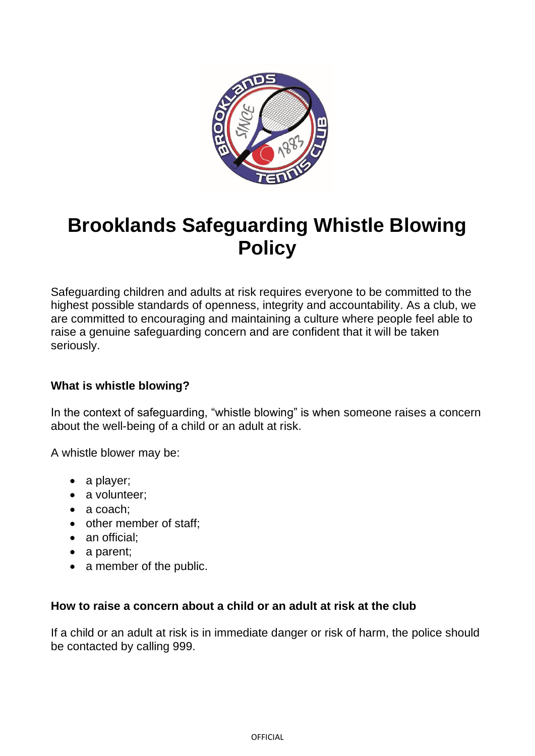

# **Brooklands Safeguarding Whistle Blowing Policy**

Safeguarding children and adults at risk requires everyone to be committed to the highest possible standards of openness, integrity and accountability. As a club, we are committed to encouraging and maintaining a culture where people feel able to raise a genuine safeguarding concern and are confident that it will be taken seriously.

# **What is whistle blowing?**

In the context of safeguarding, "whistle blowing" is when someone raises a concern about the well-being of a child or an adult at risk.

A whistle blower may be:

- a player;
- a volunteer;
- a coach:
- other member of staff;
- an official:
- a parent;
- a member of the public.

### **How to raise a concern about a child or an adult at risk at the club**

If a child or an adult at risk is in immediate danger or risk of harm, the police should be contacted by calling 999.